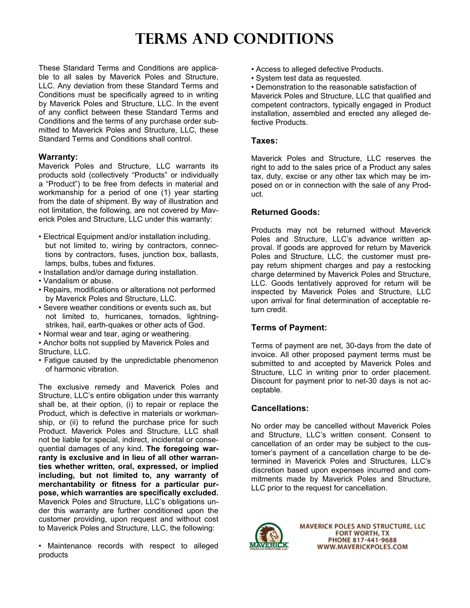# **TERMS AND CONDITIONS**

These Standard Terms and Conditions are applicable to all sales by Maverick Poles and Structure, LLC. Any deviation from these Standard Terms and Conditions must be specifically agreed to in writing by Maverick Poles and Structure, LLC. In the event of any conflict between these Standard Terms and Conditions and the terms of any purchase order submitted to Maverick Poles and Structure, LLC, these Standard Terms and Conditions shall control.

#### **Warranty:**

Maverick Poles and Structure, LLC warrants its products sold (collectively "Products" or individually a "Product") to be free from defects in material and workmanship for a period of one (1) year starting from the date of shipment. By way of illustration and not limitation, the following, are not covered by Maverick Poles and Structure, LLC under this warranty:

- Electrical Equipment and/or installation including, but not limited to, wiring by contractors, connec tions by contractors, fuses, junction box, ballasts, lamps, bulbs, tubes and fixtures.
- Installation and/or damage during installation.
- Vandalism or abuse.
- Repairs, modifications or alterations not performed by Maverick Poles and Structure, LLC.
- Severe weather conditions or events such as, but not limited to, hurricanes, tornados, lightning strikes, hail, earth-quakes or other acts of God.
- Normal wear and tear, aging or weathering.
- Anchor bolts not supplied by Maverick Poles and Structure, LLC.
- Fatigue caused by the unpredictable phenomenon of harmonic vibration.

The exclusive remedy and Maverick Poles and Structure, LLC's entire obligation under this warranty shall be, at their option, (i) to repair or replace the Product, which is defective in materials or workmanship, or (ii) to refund the purchase price for such Product. Maverick Poles and Structure, LLC shall not be liable for special, indirect, incidental or consequential damages of any kind. **The foregoing warranty is exclusive and in lieu of all other warranties whether written, oral, expressed, or implied including, but not limited to, any warranty of merchantability or fitness for a particular purpose, which warranties are specifically excluded.**  Maverick Poles and Structure, LLC's obligations under this warranty are further conditioned upon the customer providing, upon request and without cost to Maverick Poles and Structure, LLC, the following:

• Maintenance records with respect to alleged products

- Access to alleged defective Products.
- System test data as requested.

• Demonstration to the reasonable satisfaction of Maverick Poles and Structure, LLC that qualified and competent contractors, typically engaged in Product installation, assembled and erected any alleged defective Products.

#### **Taxes:**

Maverick Poles and Structure, LLC reserves the right to add to the sales price of a Product any sales tax, duty, excise or any other tax which may be imposed on or in connection with the sale of any Product.

#### **Returned Goods:**

Products may not be returned without Maverick Poles and Structure, LLC's advance written approval. If goods are approved for return by Maverick Poles and Structure, LLC, the customer must prepay return shipment charges and pay a restocking charge determined by Maverick Poles and Structure, LLC. Goods tentatively approved for return will be inspected by Maverick Poles and Structure, LLC upon arrival for final determination of acceptable return credit.

#### **Terms of Payment:**

Terms of payment are net, 30-days from the date of invoice. All other proposed payment terms must be submitted to and accepted by Maverick Poles and Structure, LLC in writing prior to order placement. Discount for payment prior to net-30 days is not acceptable.

#### **Cancellations:**

No order may be cancelled without Maverick Poles and Structure, LLC's written consent. Consent to cancellation of an order may be subject to the customer's payment of a cancellation charge to be determined in Maverick Poles and Structures, LLC's discretion based upon expenses incurred and commitments made by Maverick Poles and Structure, LLC prior to the request for cancellation.



**MAVERICK POLES AND STRUCTURE, LLC FORT WORTH, TX** PHONE 817-441-9688 WWW.MAVERICKPOLES.COM